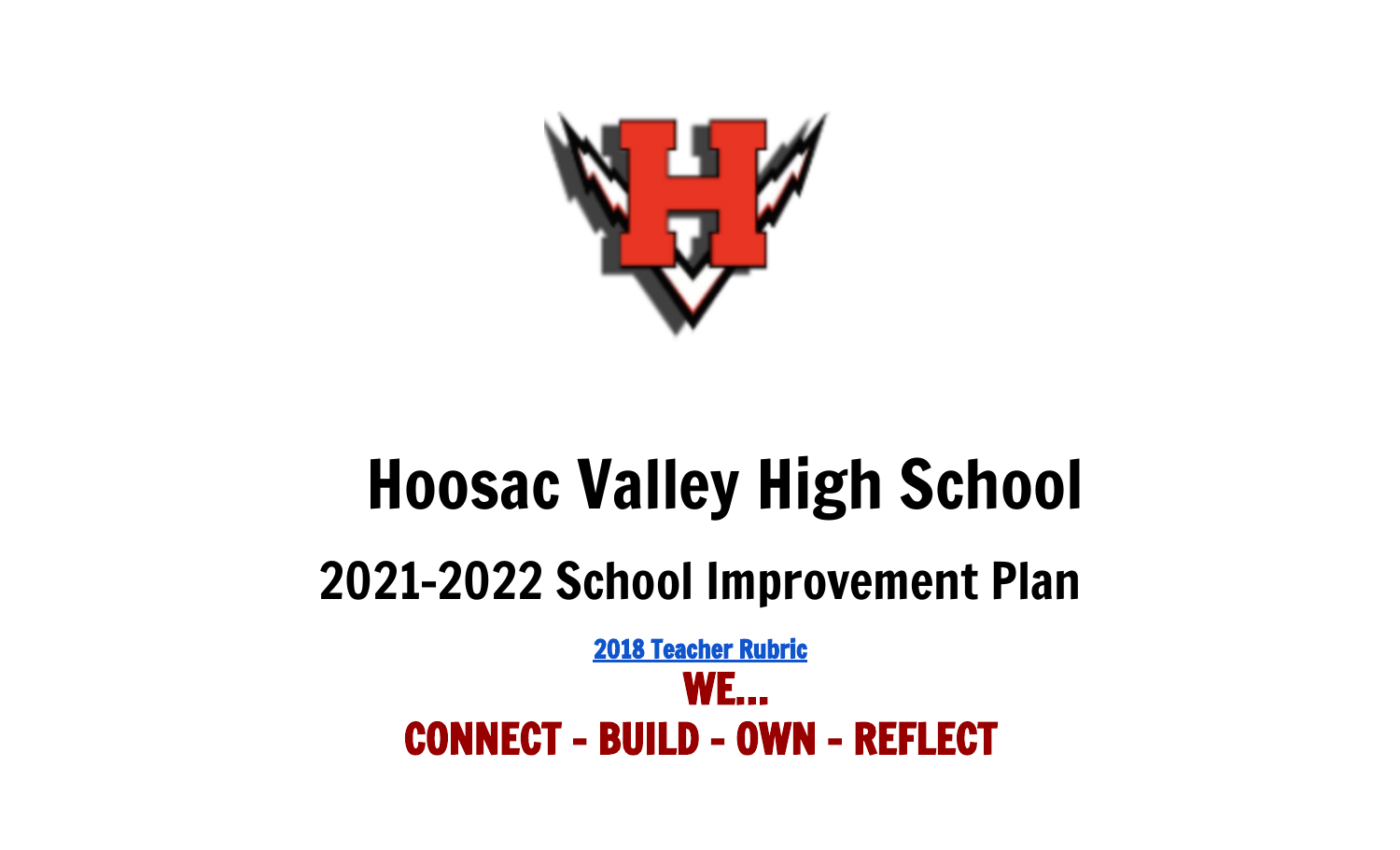

# Hoosac Valley High School 2021-2022 School Improvement Plan

2018 [Teacher](https://drive.google.com/file/d/1Jjx-1a794SCm9wVf0gYYWcpCOtPq4YfF/view?usp=sharing) Rubric WE… CONNECT - BUILD - OWN - REFLECT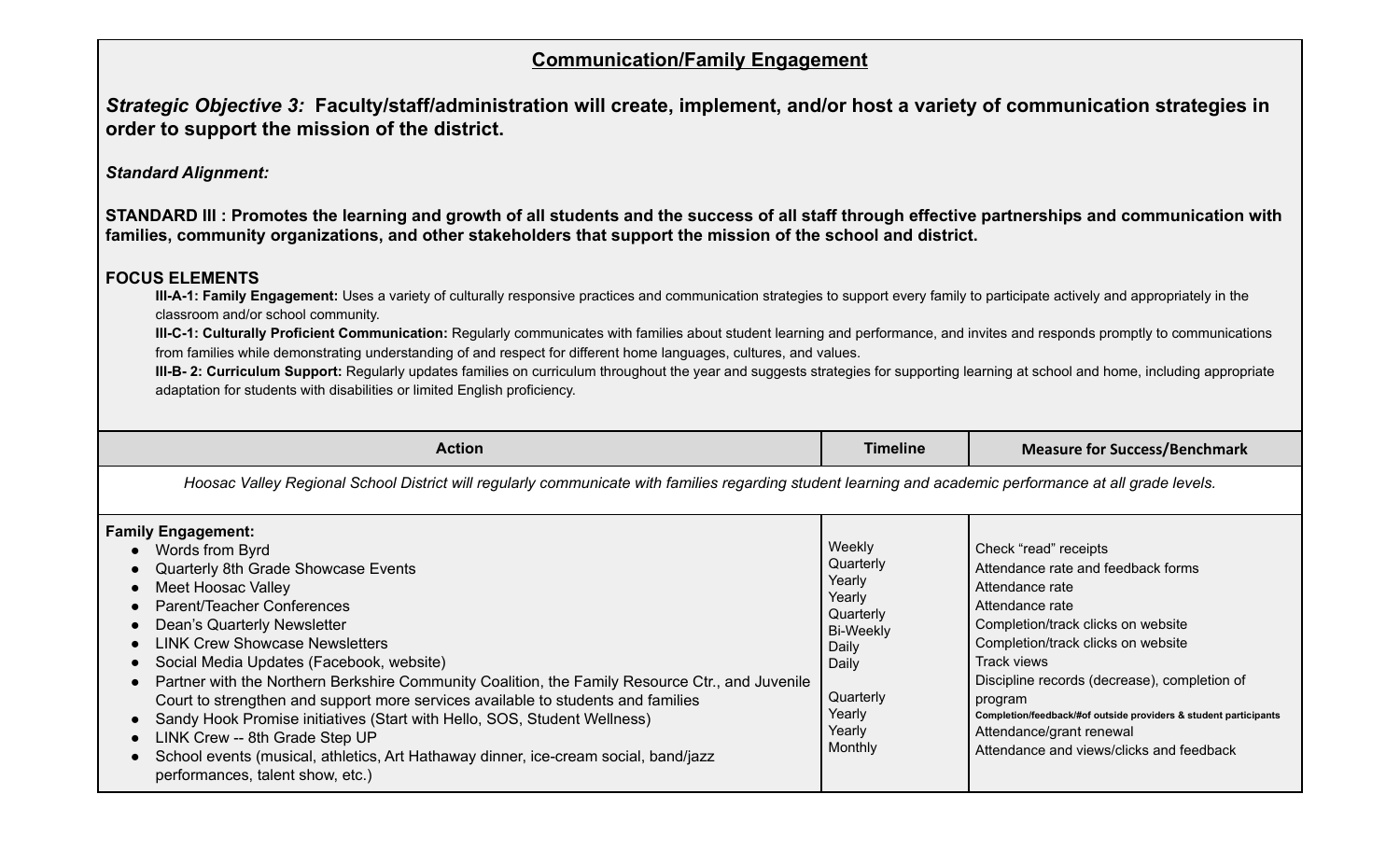### **Communication/Family Engagement**

Strategic Objective 3: Faculty/staff/administration will create, implement, and/or host a variety of communication strategies in **order to support the mission of the district.**

*Standard Alignment:*

**STANDARD III : Promotes the learning and growth of all students and the success of all staff through effective partnerships and communication with families, community organizations, and other stakeholders that support the mission of the school and district.**

#### **FOCUS ELEMENTS**

**III-A-1: Family Engagement:** Uses a variety of culturally responsive practices and communication strategies to support every family to participate actively and appropriately in the classroom and/or school community.

**III-C-1: Culturally Proficient Communication:** Regularly communicates with families about student learning and performance, and invites and responds promptly to communications from families while demonstrating understanding of and respect for different home languages, cultures, and values.

**III-B- 2: Curriculum Support:** Regularly updates families on curriculum throughout the year and suggests strategies for supporting learning at school and home, including appropriate adaptation for students with disabilities or limited English proficiency.

| <b>Action</b>                                                                                                                                                                                                                                                                                                                                                                                                                                                                                                                                                                                                                                                                                 | <b>Timeline</b>                                                                                                                               | <b>Measure for Success/Benchmark</b>                                                                                                                                                                                                                                                                                                                                                                |  |
|-----------------------------------------------------------------------------------------------------------------------------------------------------------------------------------------------------------------------------------------------------------------------------------------------------------------------------------------------------------------------------------------------------------------------------------------------------------------------------------------------------------------------------------------------------------------------------------------------------------------------------------------------------------------------------------------------|-----------------------------------------------------------------------------------------------------------------------------------------------|-----------------------------------------------------------------------------------------------------------------------------------------------------------------------------------------------------------------------------------------------------------------------------------------------------------------------------------------------------------------------------------------------------|--|
| Hoosac Valley Regional School District will regularly communicate with families regarding student learning and academic performance at all grade levels.                                                                                                                                                                                                                                                                                                                                                                                                                                                                                                                                      |                                                                                                                                               |                                                                                                                                                                                                                                                                                                                                                                                                     |  |
| <b>Family Engagement:</b><br>• Words from Byrd<br>Quarterly 8th Grade Showcase Events<br>Meet Hoosac Valley<br>Parent/Teacher Conferences<br>Dean's Quarterly Newsletter<br><b>LINK Crew Showcase Newsletters</b><br>Social Media Updates (Facebook, website)<br>Partner with the Northern Berkshire Community Coalition, the Family Resource Ctr., and Juvenile<br>Court to strengthen and support more services available to students and families<br>Sandy Hook Promise initiatives (Start with Hello, SOS, Student Wellness)<br>LINK Crew -- 8th Grade Step UP<br>School events (musical, athletics, Art Hathaway dinner, ice-cream social, band/jazz<br>performances, talent show, etc.) | Weekly<br>Quarterly<br>Yearly<br>Yearly<br>Quarterly<br><b>Bi-Weekly</b><br>Daily<br>Daily<br>Quarterly<br>Yearly<br>Yearly<br><b>Monthly</b> | Check "read" receipts<br>Attendance rate and feedback forms<br>Attendance rate<br>Attendance rate<br>Completion/track clicks on website<br>Completion/track clicks on website<br>Track views<br>Discipline records (decrease), completion of<br>program<br>Completion/feedback/#of outside providers & student participants<br>Attendance/grant renewal<br>Attendance and views/clicks and feedback |  |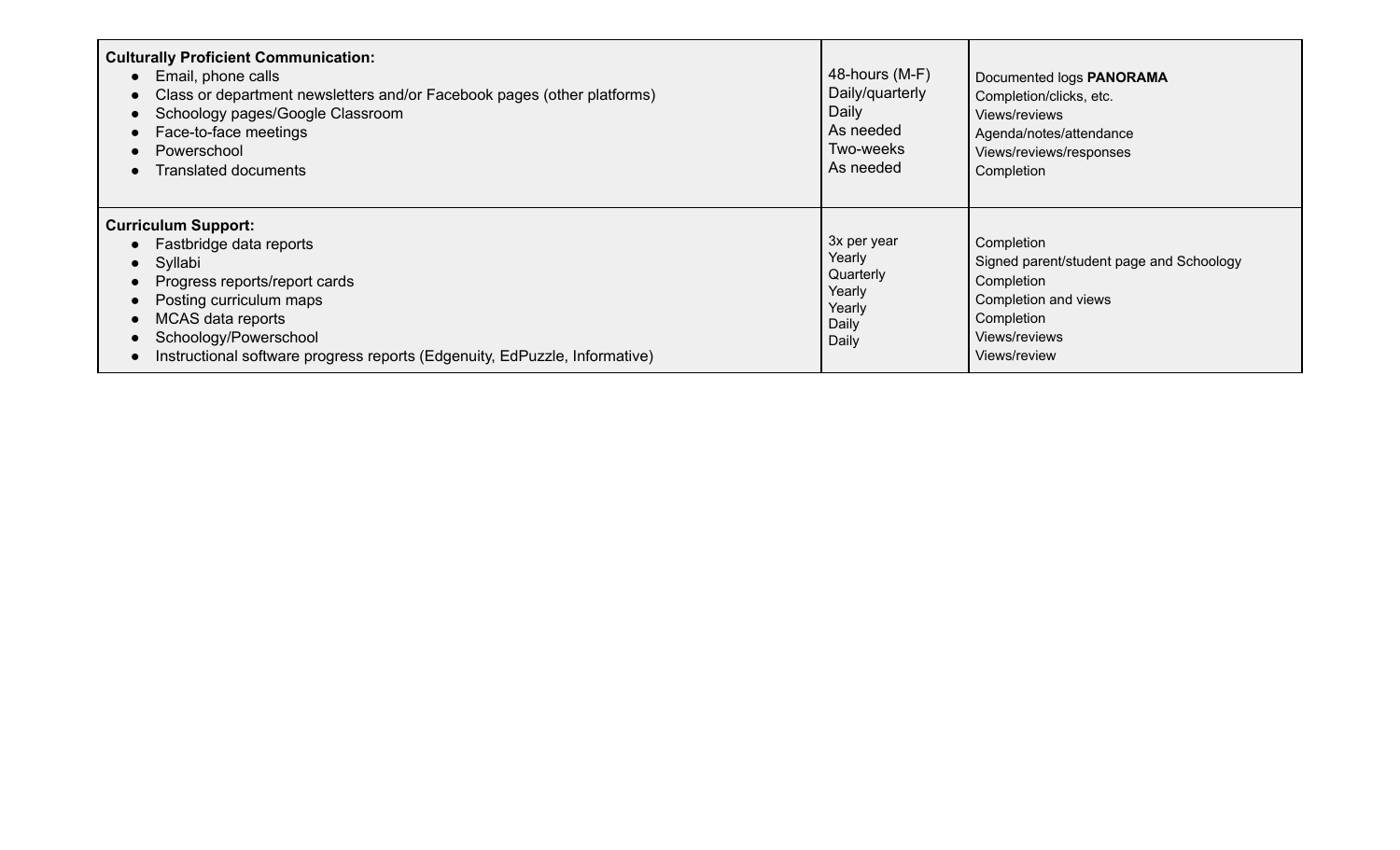| <b>Culturally Proficient Communication:</b><br>Email, phone calls<br>Class or department newsletters and/or Facebook pages (other platforms)<br>Schoology pages/Google Classroom<br>Face-to-face meetings<br>Powerschool<br><b>Translated documents</b>  | 48-hours (M-F)<br>Daily/quarterly<br>Daily<br>As needed<br>Two-weeks<br>As needed | Documented logs PANORAMA<br>Completion/clicks, etc.<br>Views/reviews<br>Agenda/notes/attendance<br>Views/reviews/responses<br>Completion    |
|----------------------------------------------------------------------------------------------------------------------------------------------------------------------------------------------------------------------------------------------------------|-----------------------------------------------------------------------------------|---------------------------------------------------------------------------------------------------------------------------------------------|
| <b>Curriculum Support:</b><br>Fastbridge data reports<br>Syllabi<br>Progress reports/report cards<br>Posting curriculum maps<br>MCAS data reports<br>Schoology/Powerschool<br>Instructional software progress reports (Edgenuity, EdPuzzle, Informative) | 3x per year<br>Yearly<br>Quarterly<br>Yearly<br>Yearly<br>Daily<br>Daily          | Completion<br>Signed parent/student page and Schoology<br>Completion<br>Completion and views<br>Completion<br>Views/reviews<br>Views/review |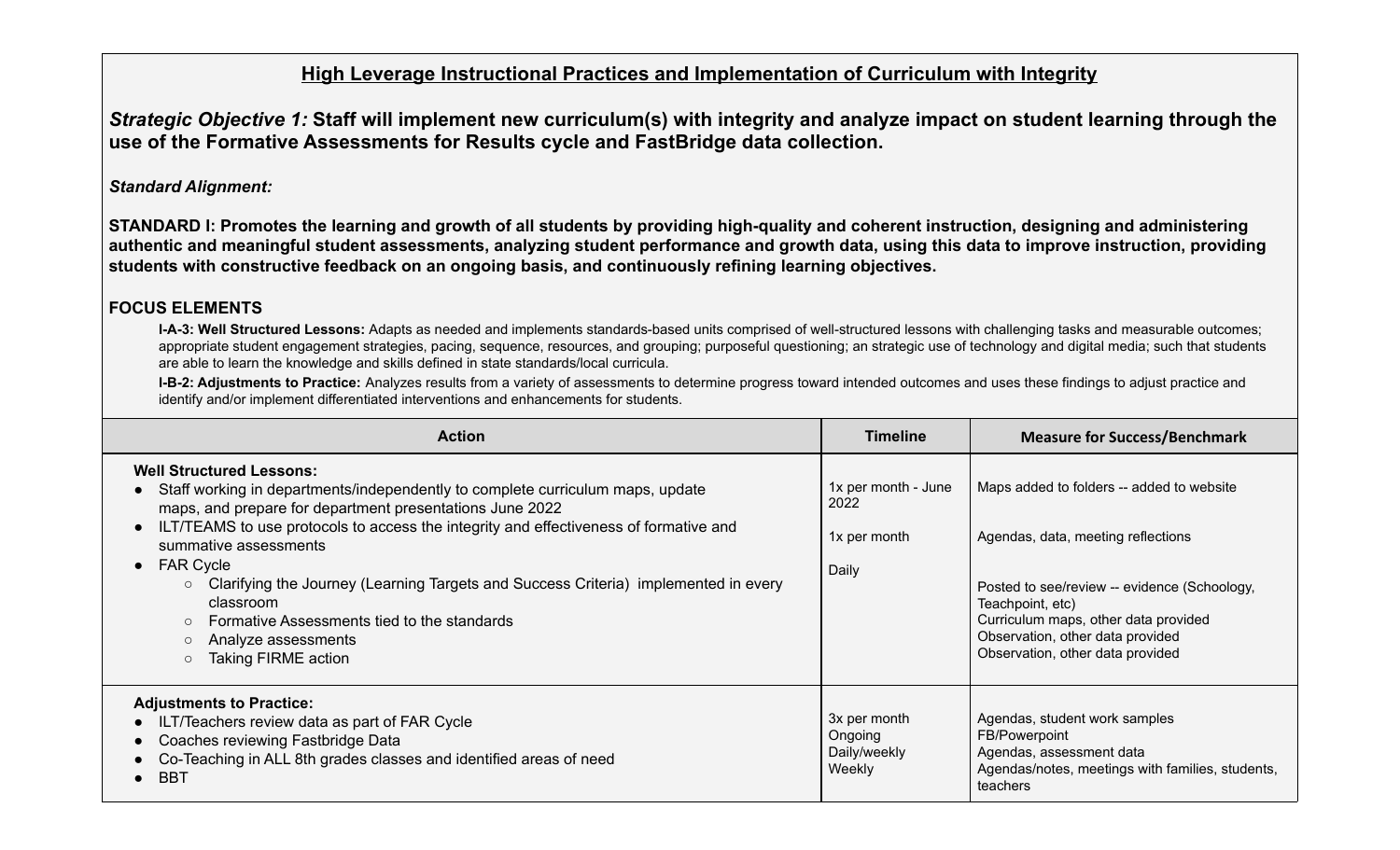## **High Leverage Instructional Practices and Implementation of Curriculum with Integrity**

Strategic Objective 1: Staff will implement new curriculum(s) with integrity and analyze impact on student learning through the **use of the Formative Assessments for Results cycle and FastBridge data collection.**

#### *Standard Alignment:*

**STANDARD I: Promotes the learning and growth of all students by providing high-quality and coherent instruction, designing and administering authentic and meaningful student assessments, analyzing student performance and growth data, using this data to improve instruction, providing students with constructive feedback on an ongoing basis, and continuously refining learning objectives.**

#### **FOCUS ELEMENTS**

**I-A-3: Well Structured Lessons:** Adapts as needed and implements standards-based units comprised of well-structured lessons with challenging tasks and measurable outcomes; appropriate student engagement strategies, pacing, sequence, resources, and grouping; purposeful questioning; an strategic use of technology and digital media; such that students are able to learn the knowledge and skills defined in state standards/local curricula.

**I-B-2: Adjustments to Practice:** Analyzes results from a variety of assessments to determine progress toward intended outcomes and uses these findings to adjust practice and identify and/or implement differentiated interventions and enhancements for students.

| <b>Action</b>                                                                                                                                                                                                                                                                                                                                                                                                                                                                                                           | <b>Timeline</b>                                      | <b>Measure for Success/Benchmark</b>                                                                                                                                                                                                                                |
|-------------------------------------------------------------------------------------------------------------------------------------------------------------------------------------------------------------------------------------------------------------------------------------------------------------------------------------------------------------------------------------------------------------------------------------------------------------------------------------------------------------------------|------------------------------------------------------|---------------------------------------------------------------------------------------------------------------------------------------------------------------------------------------------------------------------------------------------------------------------|
| <b>Well Structured Lessons:</b><br>Staff working in departments/independently to complete curriculum maps, update<br>maps, and prepare for department presentations June 2022<br>ILT/TEAMS to use protocols to access the integrity and effectiveness of formative and<br>summative assessments<br>$\bullet$ FAR Cycle<br>Clarifying the Journey (Learning Targets and Success Criteria) implemented in every<br>classroom<br>Formative Assessments tied to the standards<br>Analyze assessments<br>Taking FIRME action | 1x per month - June<br>2022<br>1x per month<br>Daily | Maps added to folders -- added to website<br>Agendas, data, meeting reflections<br>Posted to see/review -- evidence (Schoology,<br>Teachpoint, etc)<br>Curriculum maps, other data provided<br>Observation, other data provided<br>Observation, other data provided |
| <b>Adjustments to Practice:</b><br>ILT/Teachers review data as part of FAR Cycle<br>Coaches reviewing Fastbridge Data<br>Co-Teaching in ALL 8th grades classes and identified areas of need<br>$\bullet$ BBT                                                                                                                                                                                                                                                                                                            | 3x per month<br>Ongoing<br>Daily/weekly<br>Weekly    | Agendas, student work samples<br>FB/Powerpoint<br>Agendas, assessment data<br>Agendas/notes, meetings with families, students,<br>teachers                                                                                                                          |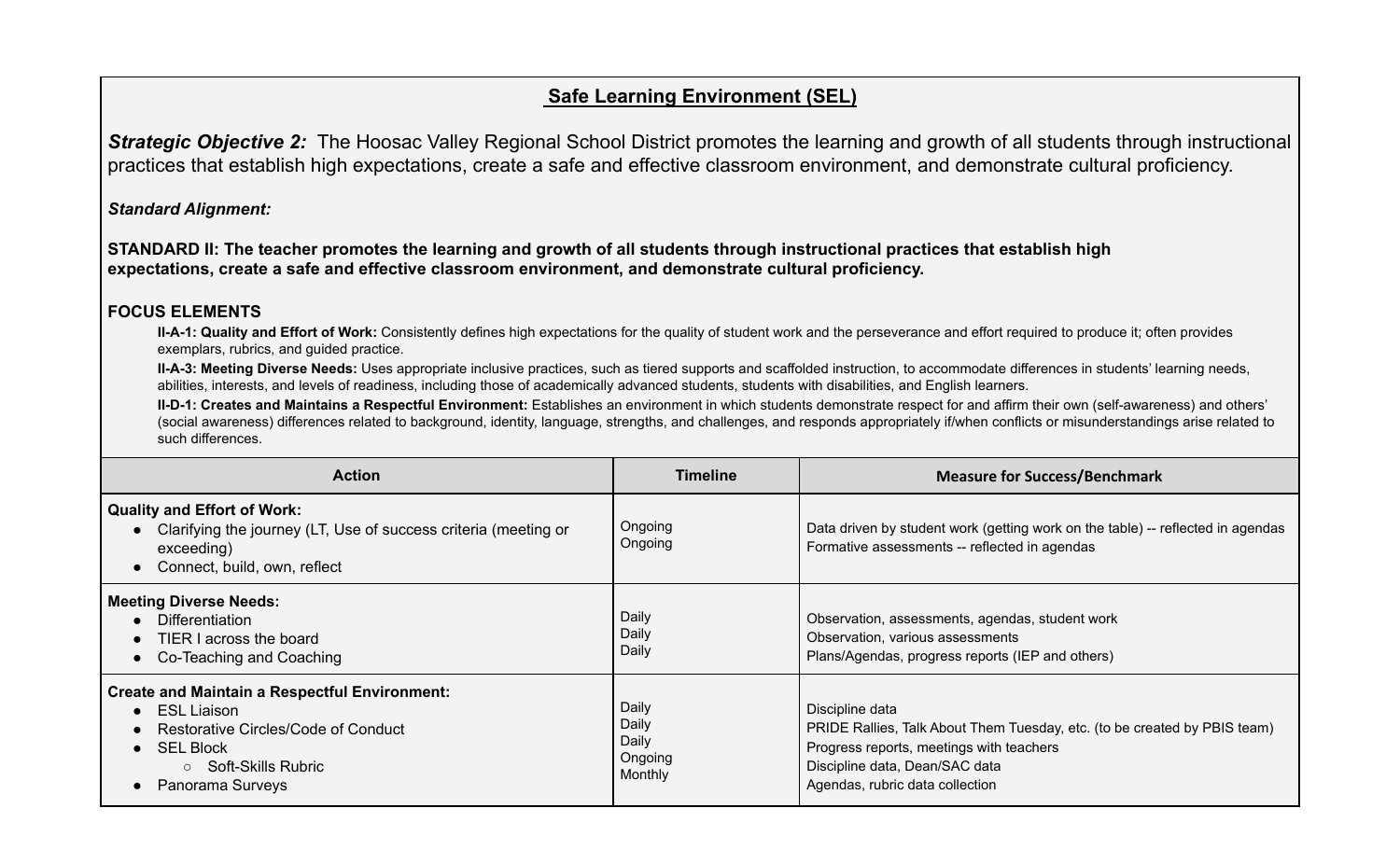# **Safe Learning Environment (SEL)**

*Strategic Objective 2:* The Hoosac Valley Regional School District promotes the learning and growth of all students through instructional practices that establish high expectations, create a safe and effective classroom environment, and demonstrate cultural proficiency.

*Standard Alignment:*

**STANDARD II: The teacher promotes the learning and growth of all students through instructional practices that establish high expectations, create a safe and effective classroom environment, and demonstrate cultural proficiency.**

#### **FOCUS ELEMENTS**

**II-A-1: Quality and Effort of Work:** Consistently defines high expectations for the quality of student work and the perseverance and effort required to produce it; often provides exemplars, rubrics, and guided practice.

**II-A-3: Meeting Diverse Needs:** Uses appropriate inclusive practices, such as tiered supports and scaffolded instruction, to accommodate differences in students' learning needs, abilities, interests, and levels of readiness, including those of academically advanced students, students with disabilities, and English learners.

**II-D-1: Creates and Maintains a Respectful Environment:** Establishes an environment in which students demonstrate respect for and affirm their own (self-awareness) and others' (social awareness) differences related to background, identity, language, strengths, and challenges, and responds appropriately if/when conflicts or misunderstandings arise related to such differences.

| <b>Action</b>                                                                                                                                                                        | <b>Timeline</b>                               | <b>Measure for Success/Benchmark</b>                                                                                                                                                                          |
|--------------------------------------------------------------------------------------------------------------------------------------------------------------------------------------|-----------------------------------------------|---------------------------------------------------------------------------------------------------------------------------------------------------------------------------------------------------------------|
| Quality and Effort of Work:<br>Clarifying the journey (LT, Use of success criteria (meeting or<br>exceeding)<br>Connect, build, own, reflect                                         | Ongoing<br>Ongoing                            | Data driven by student work (getting work on the table) -- reflected in agendas<br>Formative assessments -- reflected in agendas                                                                              |
| <b>Meeting Diverse Needs:</b><br>Differentiation<br>TIER I across the board<br>Co-Teaching and Coaching                                                                              | Daily<br>Daily<br>Daily                       | Observation, assessments, agendas, student work<br>Observation, various assessments<br>Plans/Agendas, progress reports (IEP and others)                                                                       |
| <b>Create and Maintain a Respectful Environment:</b><br><b>ESL Liaison</b><br>Restorative Circles/Code of Conduct<br>$\bullet$ SEL Block<br>○ Soft-Skills Rubric<br>Panorama Surveys | Daily<br>Daily<br>Daily<br>Ongoing<br>Monthly | Discipline data<br>PRIDE Rallies, Talk About Them Tuesday, etc. (to be created by PBIS team)<br>Progress reports, meetings with teachers<br>Discipline data, Dean/SAC data<br>Agendas, rubric data collection |